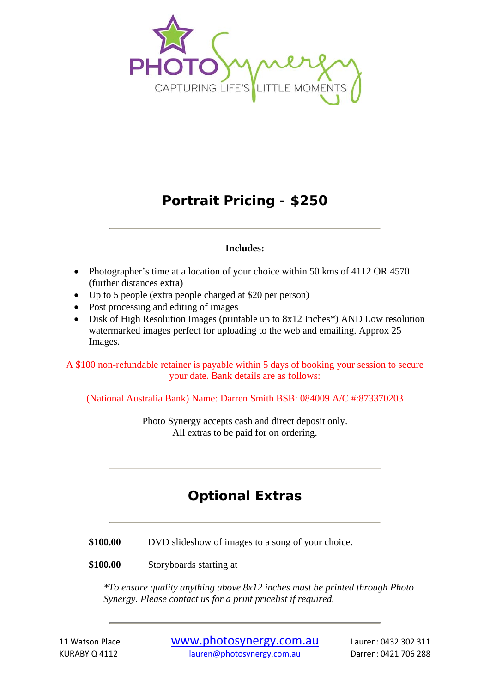

#### **Portrait Pricing - \$250**

#### **Includes:**

- Photographer's time at a location of your choice within 50 kms of 4112 OR 4570 (further distances extra)
- Up to 5 people (extra people charged at \$20 per person)
- Post processing and editing of images
- Disk of High Resolution Images (printable up to 8x12 Inches\*) AND Low resolution watermarked images perfect for uploading to the web and emailing. Approx 25 Images.

A \$100 non-refundable retainer is payable within 5 days of booking your session to secure your date. Bank details are as follows:

(National Australia Bank) Name: Darren Smith BSB: 084009 A/C #:873370203

Photo Synergy accepts cash and direct deposit only. All extras to be paid for on ordering.

#### **Optional Extras**

\$100.00 DVD slideshow of images to a song of your choice.

**\$100.00** Storyboards starting at

*\*To ensure quality anything above 8x12 inches must be printed through Photo Synergy. Please contact us for a print pricelist if required.*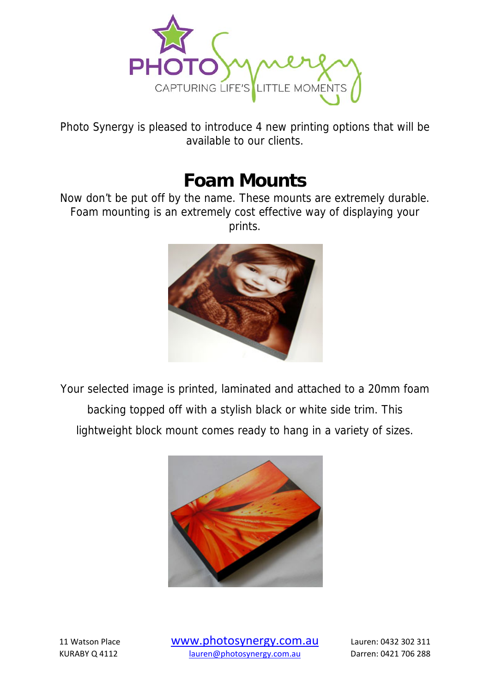

Photo Synergy is pleased to introduce 4 new printing options that will be available to our clients.

## **Foam Mounts**

Now don't be put off by the name. These mounts are extremely durable. Foam mounting is an extremely cost effective way of displaying your prints.



Your selected image is printed, laminated and attached to a 20mm foam backing topped off with a stylish black or white side trim. This lightweight block mount comes ready to hang in a variety of sizes.

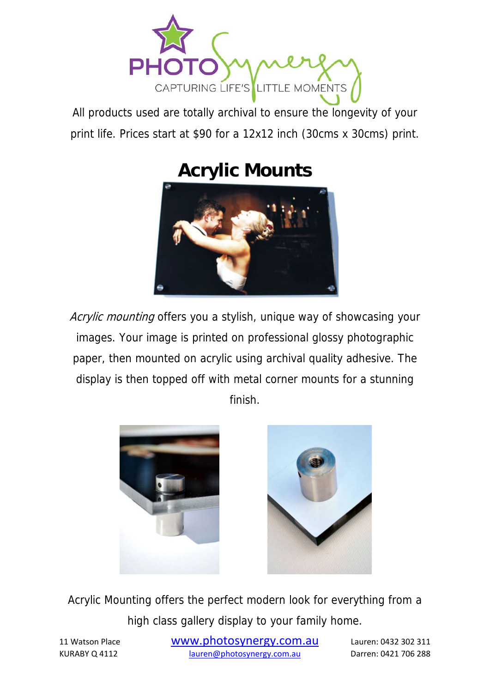

All products used are totally archival to ensure the longevity of your print life. Prices start at \$90 for a 12x12 inch (30cms x 30cms) print.

# **Acrylic Mounts**



Acrylic mounting offers you a stylish, unique way of showcasing your images. Your image is printed on professional glossy photographic paper, then mounted on acrylic using archival quality adhesive. The display is then topped off with metal corner mounts for a stunning finish.





Acrylic Mounting offers the perfect modern look for everything from a high class gallery display to your family home.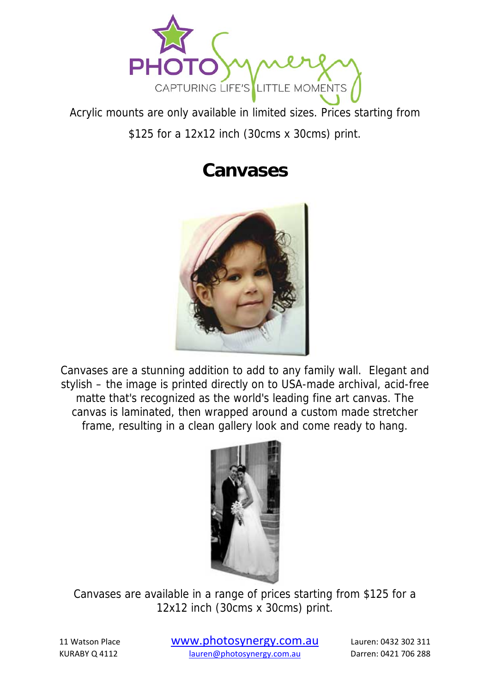

Acrylic mounts are only available in limited sizes. Prices starting from \$125 for a 12x12 inch (30cms x 30cms) print.

## **Canvases**



Canvases are a stunning addition to add to any family wall. Elegant and stylish – the image is printed directly on to USA-made archival, acid-free matte that's recognized as the world's leading fine art canvas. The canvas is laminated, then wrapped around a custom made stretcher frame, resulting in a clean gallery look and come ready to hang.



Canvases are available in a range of prices starting from \$125 for a 12x12 inch (30cms x 30cms) print.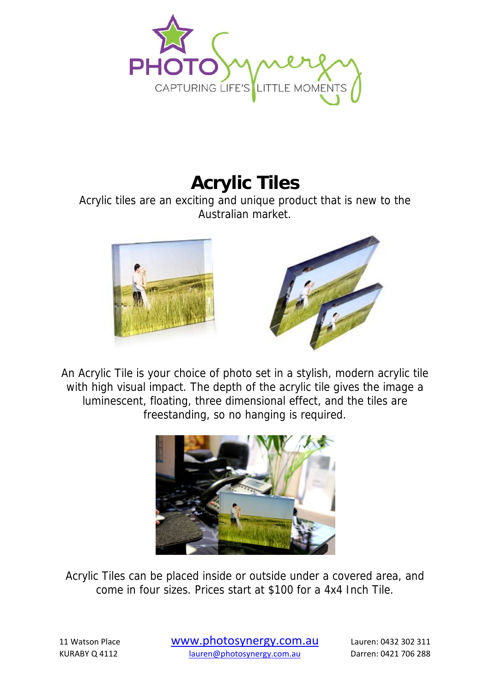

## **Acrylic Tiles**

Acrylic tiles are an exciting and unique product that is new to the Australian market.





An Acrylic Tile is your choice of photo set in a stylish, modern acrylic tile with high visual impact. The depth of the acrylic tile gives the image a luminescent, floating, three dimensional effect, and the tiles are freestanding, so no hanging is required.



Acrylic Tiles can be placed inside or outside under a covered area, and come in four sizes. Prices start at \$100 for a 4x4 Inch Tile.